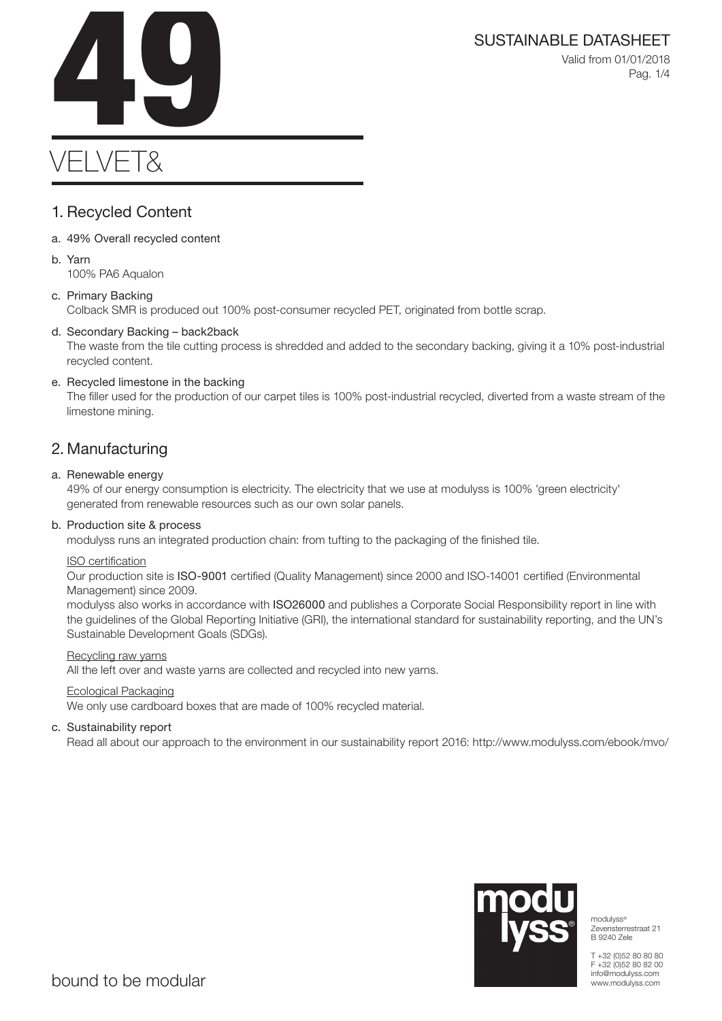SUSTAINABLE DATASHEET<br>Valid from 01/01/2018<br>Pag. 1/4 Valid from 01/01/2018 Pag. 1/4

# VELVET&

### 1. Recycled Content

- a. 49% Overall recycled content
- b. Yarn 100% PA6 Aqualon

### c. Primary Backing

Colback SMR is produced out 100% post-consumer recycled PET, originated from bottle scrap.

### d. Secondary Backing – back2back

The waste from the tile cutting process is shredded and added to the secondary backing, giving it a 10% post-industrial recycled content.

### e. Recycled limestone in the backing

The filler used for the production of our carpet tiles is 100% post-industrial recycled, diverted from a waste stream of the limestone mining.

### 2. Manufacturing

### a. Renewable energy

49% of our energy consumption is electricity. The electricity that we use at modulyss is 100% 'green electricity' generated from renewable resources such as our own solar panels.

### b. Production site & process

modulyss runs an integrated production chain: from tufting to the packaging of the finished tile.

### ISO certification

Our production site is ISO-9001 certified (Quality Management) since 2000 and ISO-14001 certified (Environmental Management) since 2009.

modulyss also works in accordance with ISO26000 and publishes a Corporate Social Responsibility report in line with the guidelines of the Global Reporting Initiative (GRI), the international standard for sustainability reporting, and the UN's Sustainable Development Goals (SDGs).

### Recycling raw yarns

All the left over and waste yarns are collected and recycled into new yarns.

### Ecological Packaging

We only use cardboard boxes that are made of 100% recycled material.

### c. Sustainability report

Read all about our approach to the environment in our sustainability report 2016: http://www.modulyss.com/ebook/mvo/



modulyss® Zevensterrestraat 21 B 9240 Zele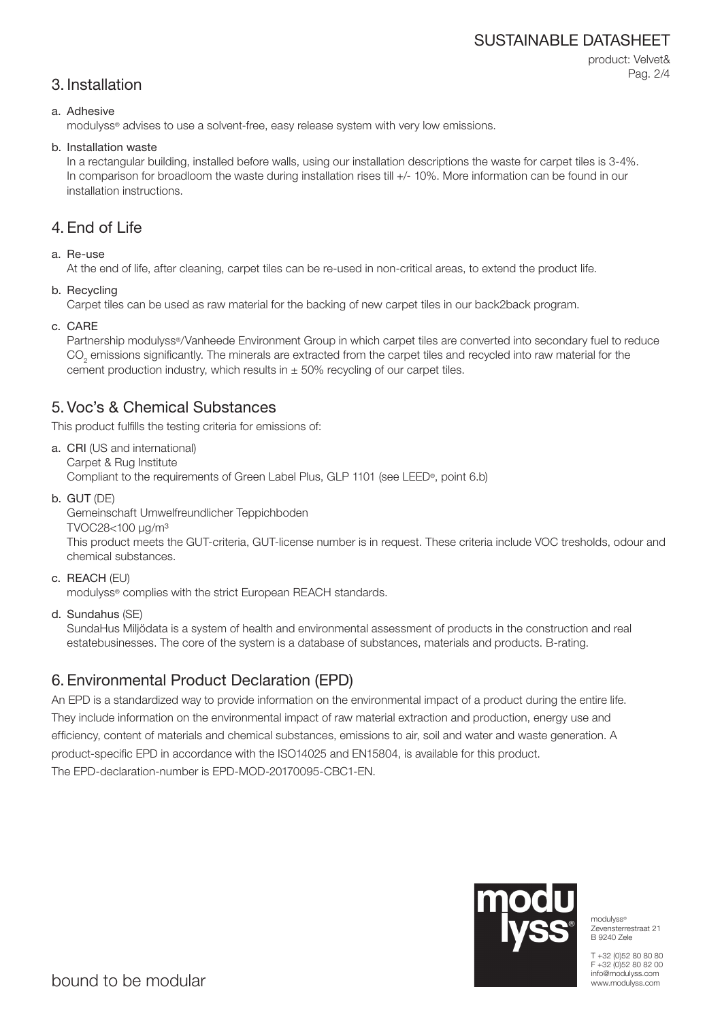### SUSTAINABLE DATASHEET

### 3. Installation

product: Velvet& Pag. 2/4

### a. Adhesive

modulyss® advises to use a solvent-free, easy release system with very low emissions.

#### b. Installation waste

In a rectangular building, installed before walls, using our installation descriptions the waste for carpet tiles is 3-4%. In comparison for broadloom the waste during installation rises till  $+/-10\%$ . More information can be found in our installation instructions.

### 4. End of Life

### a. Re-use

At the end of life, after cleaning, carpet tiles can be re-used in non-critical areas, to extend the product life.

b. Recycling

Carpet tiles can be used as raw material for the backing of new carpet tiles in our back2back program.

c. CARE

Partnership modulyss®/Vanheede Environment Group in which carpet tiles are converted into secondary fuel to reduce  $\mathrm{CO}_2$  emissions significantly. The minerals are extracted from the carpet tiles and recycled into raw material for the cement production industry, which results in  $\pm$  50% recycling of our carpet tiles.

### 5. Voc's & Chemical Substances

This product fulfills the testing criteria for emissions of:

- a. CRI (US and international) Carpet & Rug Institute Compliant to the requirements of Green Label Plus, GLP 1101 (see LEED®, point 6.b)
- b. GUT (DE)

Gemeinschaft Umwelfreundlicher Teppichboden

TVOC28<100 μg/m³

This product meets the GUT-criteria, GUT-license number is in request. These criteria include VOC tresholds, odour and chemical substances.

c. REACH (EU)

modulyss® complies with the strict European REACH standards.

d. Sundahus (SE)

SundaHus Miljödata is a system of health and environmental assessment of products in the construction and real estatebusinesses. The core of the system is a database of substances, materials and products. B-rating.

### 6. Environmental Product Declaration (EPD)

An EPD is a standardized way to provide information on the environmental impact of a product during the entire life. They include information on the environmental impact of raw material extraction and production, energy use and efficiency, content of materials and chemical substances, emissions to air, soil and water and waste generation. A product-specific EPD in accordance with the ISO14025 and EN15804, is available for this product. The EPD-declaration-number is EPD-MOD-20170095-CBC1-EN.



modulyss® Zevensterrestraat 21 B 9240 Zele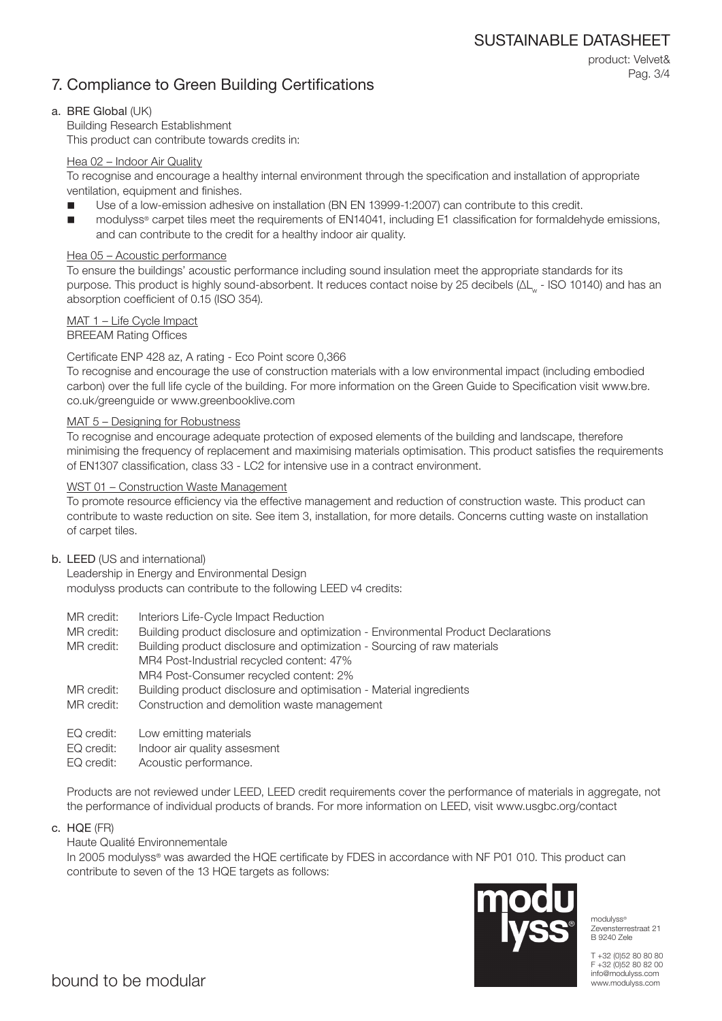## 7. Compliance to Green Building Certifications

product: Velvet& Pag. 3/4

### a. BRE Global (UK)

Building Research Establishment This product can contribute towards credits in:

### Hea 02 – Indoor Air Quality

To recognise and encourage a healthy internal environment through the specification and installation of appropriate ventilation, equipment and finishes.

- Use of a low-emission adhesive on installation (BN EN 13999-1:2007) can contribute to this credit.
- modulyss® carpet tiles meet the requirements of EN14041, including E1 classification for formaldehyde emissions, and can contribute to the credit for a healthy indoor air quality.

### Hea 05 – Acoustic performance

To ensure the buildings' acoustic performance including sound insulation meet the appropriate standards for its purpose. This product is highly sound-absorbent. It reduces contact noise by 25 decibels (ΔL<sub>w</sub> - ISO 10140) and has an absorption coefficient of 0.15 (ISO 354).

### MAT 1 – Life Cycle Impact

BREEAM Rating Offices

### Certificate ENP 428 az, A rating - Eco Point score 0,366

To recognise and encourage the use of construction materials with a low environmental impact (including embodied carbon) over the full life cycle of the building. For more information on the Green Guide to Specification visit www.bre. co.uk/greenguide or www.greenbooklive.com

### MAT 5 – Designing for Robustness

To recognise and encourage adequate protection of exposed elements of the building and landscape, therefore minimising the frequency of replacement and maximising materials optimisation. This product satisfies the requirements of EN1307 classification, class 33 - LC2 for intensive use in a contract environment.

### WST 01 – Construction Waste Management

To promote resource efficiency via the effective management and reduction of construction waste. This product can contribute to waste reduction on site. See item 3, installation, for more details. Concerns cutting waste on installation of carpet tiles.

### b. LEED (US and international)

Leadership in Energy and Environmental Design modulyss products can contribute to the following LEED v4 credits:

- MR credit: Interiors Life-Cycle Impact Reduction
- MR credit: Building product disclosure and optimization Environmental Product Declarations
- MR credit: Building product disclosure and optimization Sourcing of raw materials MR4 Post-Industrial recycled content: 47% MR4 Post-Consumer recycled content: 2%
- MR credit: Building product disclosure and optimisation Material ingredients
- MR credit: Construction and demolition waste management
- EQ credit: Low emitting materials
- EQ credit: Indoor air quality assesment
- EQ credit: Acoustic performance.

Products are not reviewed under LEED, LEED credit requirements cover the performance of materials in aggregate, not the performance of individual products of brands. For more information on LEED, visit www.usgbc.org/contact

c. HQE (FR)

Haute Qualité Environnementale

In 2005 modulyss® was awarded the HQE certificate by FDES in accordance with NF P01 010. This product can contribute to seven of the 13 HQE targets as follows:



modulyss® Zevensterrestraat 21 B 9240 Zele